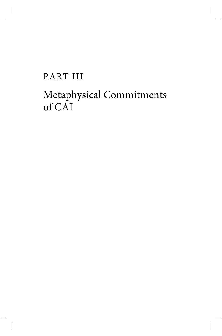## PART III

# Metaphysical Commitments of CAI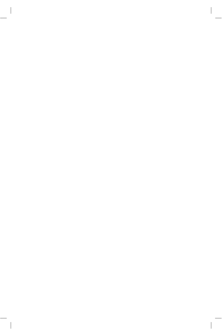$\begin{array}{c} \hline \end{array}$  $\overline{\phantom{a}}$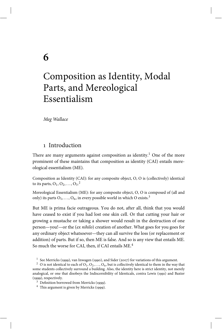## **6**

## Composition as Identity, Modal Parts, and Mereological Essentialism

*Meg Wallace*

## 1 Introduction

There are many arguments against composition as identity.<sup>1</sup> One of the more prominent of these maintains that composition as identity (CAI) entails mereological essentialism (ME).

Composition as Identity (CAI): for any composite object, O, O is (collectively) identical to its parts,  $O_1$ ,  $O_2$ , ...,  $O_3$ .<sup>2</sup>

Mereological Essentialism (ME): for any composite object, O, O is composed of (all and only) its parts  $O_1, \ldots, O_n$ , in every possible world in which O exists.<sup>3</sup>

But ME is prima facie outrageous. You do not, after all, think that you would have ceased to exist if you had lost one skin cell. Or that cutting your hair or growing a mustache or taking a shower would result in the destruction of one person—you!—or the (*ex nihilo*) creation of another. What goes for you goes for any ordinary object whatsoever—they can all survive the loss (or replacement or addition) of parts. But if so, then ME is false. And so is any view that entails ME. So much the worse for CAI, then, if CAI entails ME.<sup>4</sup>

<sup>&</sup>lt;sup>1</sup> See Merricks (1999), van Inwagen (1990), and Sider (2007) for variations of this argument.<br><sup>2</sup> O is not identical to each of O<sub>1</sub>, O<sub>2</sub>,..., O<sub>n</sub>, but is collectively identical to them in the way that some students collectively surround a building. Also, the identity here is strict identity, not merely analogical, or one that disobeys the Indiscernibility of Identicals, contra Lewis (1991) and Baxter (1999), respectively.<br><sup>3</sup> Definition borrowed from Merricks (1999).<br><sup>4</sup> This argument is given by Merricks (1999).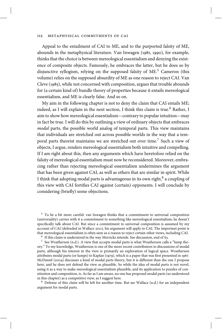Appeal to the entailment of CAI to ME, and to the purported falsity of ME, abounds in the metaphysical literature. Van Inwagen (1981, 1990), for example, thinks that the choice is between mereological essentialism and denying the existence of composite objects. Famously, he embraces the latter, but he does so by disjunctive syllogism, relying on the supposed falsity of ME.<sup>5</sup> Cameron (this volume) relies on the supposed absurdity of ME as one reason to reject CAI. Van Cleve (1985), while not concerned with composition, argues that trouble abounds for (a certain kind of) bundle theory of properties because it entails mereological essentialism, and ME is clearly false. And so on.

My aim in the following chapter is not to deny the claim that CAI entails ME; indeed, as I will explain in the next section, I think this claim is true.<sup>6</sup> Rather, I aim to show how mereological essentialism—contrary to popular intuition—may in fact be true. I will do this by outlining a view of ordinary objects that embraces *modal* parts, the possible world analog of temporal parts. This view maintains that individuals are stretched out across possible worlds in the way that a temporal parts theorist maintains we are stretched out over time.<sup>7</sup> Such a view of objects, I argue, renders mereological essentialism both intuitive and compelling. If I am right about this, then any arguments which have heretofore relied on the falsity of mereological essentialism must now be reconsidered. Moreover, embracing rather than rejecting mereological essentialism undermines the argument that has been given against CAI, as well as others that are similar in spirit. While I think that adopting modal parts is advantageous in its own right, $^8$  a coupling of this view with CAI fortifies CAI against (certain) opponents. I will conclude by considering (briefly) some objections.

argument for modal parts.

<sup>5</sup> To be a bit more careful: van Inwagen thinks that a commitment to universal composition (universality) carries with it a commitment to something like mereological essentialism; he doesn't specifically talk about CAI. But since a commitment to universal composition is assumed by my account of CAI (defended in Wallace 2011), his argument will apply to CAI. The important point is % that mereological essentialism is often seen as a reason to reject certain other views, including CAI.<br><sup>6</sup> If this claim is understood in the way Merricks intends. See discussion, end of §3.<br><sup>7</sup> See Weatherson (n.d.). A

ory." To my knowledge, Weatherson is one of the more recent contributors to discussions of modal parts, although his interest in the view is primarily an exploration of logical space. Weatherson attributes modal parts (or lumps) to Kaplan (1979), which is a paper that was first presented in 1967. McDaniel (2004) discusses a kind of modal parts theory, but it is different than the one I propose here, and he does not defend the view as plausible. So while the idea of modal parts is not novel, using it as a way to make mereological essentialism plausible, and its application to puzzles of constitution and composition, is. As far as I am aware, no one has proposed modal parts (so understood in this chapter) as a competitive view, as I suggest here.<br><sup>8</sup> Defense of this claim will be left for another time. But see Wallace (n.d.) for an independent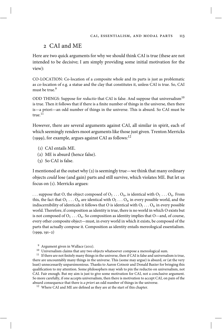## 2 CAI and ME

Here are two quick arguments for why we should think CAI is true (these are not intended to be decisive; I am simply providing some initial motivation for the view):

CO-LOCATION: Co-location of a composite whole and its parts is just as problematic as co-location of e.g. a statue and the clay that constitutes it, unless CAI is true. So, CAI must be true.<sup>9</sup>

ODD THINGS: Suppose for *reductio* that CAI is false. And suppose that universalism<sup>10</sup> is true. Then it follows that if there is a finite number of things in the universe, then there is—a priori—an odd number of things in the universe. This is absurd. So CAI must be  $t$ rue. $11$ 

However, there are several arguments against CAI, all similar in spirit, each of which seemingly renders moot arguments like those just given. Trenton Merricks (1999), for example, argues against CAI as follows:<sup>12</sup>

- (1) CAI entails ME.
- (2) ME is absurd (hence false).
- (3) So CAI is false.

I mentioned at the outset why (2) is seemingly true—we think that many ordinary objects *could* lose (and gain) parts and still survive, which violates ME. But let us focus on (1). Merricks argues:

... suppose that O, the object composed of  $O_1 \ldots O_n$ , is identical with  $O_1 \ldots O_n$ . From this, the fact that  $O_1 \ldots O_n$  are identical with  $O_1 \ldots O_n$  in every possible world, and the indiscernibility of identicals it follows that O is identical with  $O_1 \ldots O_n$  in every possible world. Therefore, if composition as identity is true, there is no world in which O exists but is not composed of  $O_1 \ldots O_n$ . So composition as identity implies that O—and, of course, every other composite object—must, in every world in which it exists, be composed of the parts that actually compose it. Composition as identity entails mereological essentialism. (1999, 191–2)

<sup>9</sup> Argument given in Wallace (2011). <sup>10</sup> Universalism claims that any two objects whatsoever compose a mereological sum. <sup>11</sup> If there are not finitely many things in the universe, then if CAI is false and universalism there are uncountably many things in the universe. This (some may argue) is absurd, or (at the very least) unnecessarily unparsimonious. Thanks to Aaron Cotnoir and Donald Baxter for bringing this qualification to my attention. Some philosophers may wish to pin the reductio on universalism, not CAI. Fair enough. But my aim is just to give some motivation for CAI, not a conclusive argument. So more carefully, if one accepts universalism, then there is motivation to accept CAI, on pain of the absurd consequence that there is *a priori* an odd number of things in the universe. <sup>12</sup> Where CAI and ME are defined as they are at the start of this chapter.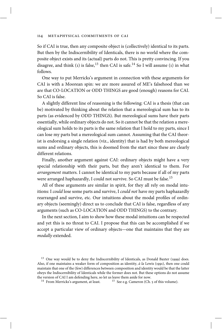So if CAI is true, then any composite object is (collectively) identical to its parts. But then by the Indiscernibility of Identicals, there is no world where the composite object exists and its (actual) parts do not. This is pretty convincing. If you disagree, and think (1) is false,  $^{13}$  then CAI is safe. <sup>14</sup> So I will assume (1) in what follows.

One way to put Merricks's argument in connection with these arguments for CAI is with a Moorean spin: we are more assured of ME's falsehood than we are that CO-LOCATION or ODD THINGS are good (enough) reasons for CAI. So CAI is false.

A slightly different line of reasoning is the following: CAI is a thesis (that can be) motivated by thinking about the relation that a mereological sum has to its parts (as evidenced by ODD THINGS). But mereological sums have their parts essentially, while ordinary objects do not. So it cannot be that the relation a mereological sum holds to its parts is the same relation that I hold to my parts, since I can lose my parts but a mereological sum cannot. Assuming that the CAI theorist is endorsing a single relation (viz., identity) that is had by both mereological sums and ordinary objects, this is doomed from the start since these are clearly different relations.

Finally, another argument against CAI: ordinary objects might have a very special relationship with their parts, but they aren't identical to them. For *arrangement* matters. I cannot be identical to my parts because if all of my parts were arranged haphazardly, I could not survive. So CAI must be false.<sup>15</sup>

All of these arguments are similar in spirit, for they all rely on modal intuitions: I *could* lose some parts and survive, I *could not* have my parts haphazardly rearranged and survive, etc. Our intuitions about the modal profiles of ordinary objects (seemingly) direct us to conclude that CAI is false, regardless of any arguments (such as CO-LOCATION and ODD THINGS) to the contrary.

In the next section, I aim to show how these modal intuitions can be respected and yet this is no threat to CAI. I propose that this can be accomplished if we accept a particular view of ordinary objects—one that maintains that they are *modally* extended.

<sup>13</sup> One way would be to deny the Indiscernibility of Identicals, as Donald Baxter (1999) does. Also, if one maintains a weaker form of composition as identity, *à la* Lewis (1991), then one could maintain that one of the (few) differences between composition and identity would be that the latter obeys the Indiscernibility of Identicals while the former does not. But these options do not assume the version of CAI I am defending here, so let us leave them aside for now.  $14$  From Merricks's argument, at least.  $15$  See e.g. Cameron (Ch. 5 of this volume).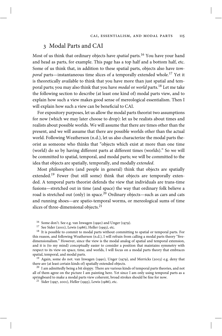## 3 Modal Parts and CAI

Most of us think that ordinary objects have *spatial* parts.<sup>16</sup> You have your hand and head as parts, for example. This page has a top half and a bottom half, etc. Some of us think that, in addition to these spatial parts, objects also have *temporal* parts—instantaneous time slices of a temporally extended whole.<sup>17</sup> Yet it is theoretically available to think that you have more than just spatial and temporal parts; you may also think that you have *modal* or *world* parts.<sup>18</sup> Let me take the following section to describe (at least one kind of) modal parts view, and to explain how such a view makes good sense of mereological essentialism. Then I will explain how such a view can be beneficial to CAI.

For expository purposes, let us allow the modal parts theorist two assumptions for now (which we may later choose to drop): let us be realists about times and realists about possible worlds. We will assume that there are times other than the present, and we will assume that there are possible worlds other than the actual world. Following Weatherson (n.d.), let us also characterize the modal parts theorist as someone who thinks that "objects which exist at more than one time (world) do so by having different parts at different times (worlds)." So we will be committed to spatial, temporal, and modal parts; we will be committed to the idea that objects are spatially, temporally, and modally *extended*.

Most philosophers (and people in general) think that objects are spatially extended.<sup>19</sup> Fewer (but still some) think that objects are temporally extended. A temporal parts theorist defends the view that individuals are trans-time fusions—stretched out in time (and space) the way that ordinary folk believe a road is stretched out (only) in space.<sup>20</sup> Ordinary objects—such as cars and cats and running shoes—are spatio-temporal worms, or mereological sums of time slices of three-dimensional objects.<sup>21</sup>

<sup>19</sup> Again, some do not. van Inwagen (1990), Unger (1979), and Merricks (2003) e.g. deny that there are (at least certain kinds of) spatially extended objects.

 $20$  I am admittedly being a bit sloppy. There are various kinds of temporal parts theories, and not all of them agree on the picture I am painting here. Yet since I am only using temporal parts as a springboard to make a modal parts view coherent, broad strokes should be fine for now.<br><sup>21</sup> Sider (1997, 2001), Heller (1993), Lewis (1986), etc.

<sup>&</sup>lt;sup>16</sup> Some don't. See e.g. van Inwagen (1990) and Unger (1979).<br><sup>17</sup> See Sider (2001), Lewis (1986), Heller (1993), etc.<br><sup>18</sup> It is possible to commit to modal parts without committing to spatial or temporal parts. For this reason, and following Weatherson (n.d.), I will refrain from calling a modal parts theory "fivedimensionalism." However, since the view is the modal analog of spatial and temporal extension, and it is (to my mind) conceptually easier to consider a position that maintains symmetry with respect to its view on space, time, and worlds, I will focus on a modal parts theory that embraces spatial, temporal, and modal parts.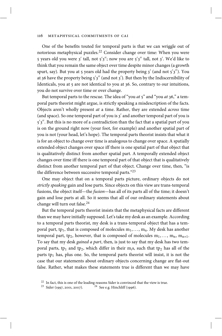One of the benefits touted for temporal parts is that we can wriggle out of notorious metaphysical puzzles.<sup>22</sup> Consider change over time: When you were 5 years old you were 3 $^{\prime}$  tall, not 5 $^{\prime}$ 3 $^{\prime\prime}$ ; now you are 5 $^{\prime}$ 3 $^{\prime\prime}$  tall, not 3 $^{\prime}$ . We $^{\prime}$ d like to think that you remain the same object over time despite minor changes (a growth spurt, say). But you at 5 years old had the property being 3' (and not 5'3"). You at 36 have the property being 5′3″ (and not 3′). But then by the Indiscernibility of Identicals, you at 5 are not identical to you at 36. So, contrary to our intuitions, you do not survive over time or over change.

But temporal parts to the rescue. The idea of "you *at* 5" and "you *at* 36," a temporal parts theorist might argue, is strictly speaking a misdescription of the facts. Objects aren't wholly present *at* a time. Rather, they are extended *across* time (and space). So one temporal part of you is  $3'$  and another temporal part of you is 5 $^\prime$ 3 $^{\prime\prime}$ . But this is no more of a contradiction than the fact that a spatial part of you is on the ground right now (your foot, for example) and another spatial part of you is not (your head, let's hope). The temporal parts theorist insists that what it is for an object to change over time is analogous to change over space. A spatially extended object changes over space iff there is one spatial part of that object that is qualitatively distinct from another spatial part. A temporally extended object changes over time iff there is one temporal part of that object that is qualitatively distinct from another temporal part of that object. Change over time, then, "is the difference between successive temporal parts."<sup>23</sup>

One may object that on a temporal parts picture, ordinary objects do not *strictly speaking* gain and lose parts. Since objects on this view are trans-temporal fusions, the object itself—the *fusion*—has all of its parts all of the time; it doesn't gain and lose parts at all. So it seems that all of our ordinary statements about change will turn out false. $^{24}$ 

But the temporal parts theorist insists that the metaphysical facts are different than we may have initially supposed. Let's take my desk as an example. According to a temporal parts theorist, my desk is a trans-temporal object that has a temporal part, tp<sub>1</sub>, that is composed of molecules  $m_1, \ldots, m_n$ . My desk has another temporal part, tp<sub>2</sub>, however, that is composed of molecules  $m_1, \ldots, m_n, m_{n+1}$ . To say that my desk *gained a part*, then, is just to say that my desk has two temporal parts, tp<sub>1</sub> and tp<sub>2</sub>, which differ in their m<sub>*i*</sub>s, such that tp<sub>2</sub> has all of the parts tp $<sub>1</sub>$  has, plus one. So, the temporal parts theorist will insist, it is not the</sub> case that our statements about ordinary objects concerning change are flat-out false. Rather, what makes these statements true is different than we may have

<sup>&</sup>lt;sup>22</sup> In fact, this is one of the leading reasons Sider is convinced that the view is true.<br><sup>23</sup> Sider (1997, 2001, 2007). <sup>24</sup> See e.g. Hinchliff (1996).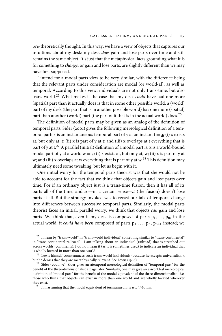pre-theoretically thought. In this way, we have a view of objects that captures our intuitions about my desk: my desk *does* gain and lose parts over time and still remains the same object. It's just that the metaphysical facts grounding what it is for something to *change*, or gain and lose parts, are slightly different than we may have first supposed.

I intend for a modal parts view to be very similar, with the difference being that the relevant parts under consideration are modal (or world-al), as well as temporal. According to this view, individuals are not only trans-time, but also trans-world.<sup>25</sup> What makes it the case that my desk *could* have had one more (spatial) part than it actually does is that in some other possible world, a (world) part of my desk (the part that is in another possible world) has one more (spatial) part than another (world) part (the part of it that is in the actual world) does.<sup>26</sup>

The definition of modal parts may be given as an analog of the definition of temporal parts. Sider (2001) gives the following mereological definition of a temporal part: x is an instantaneous temporal part of y at an instant  $t =$   $_{df}$  (i) x exists at, but only at, t; (ii) x is part of y at t; and (iii) x overlaps at t everything that is part of y at  $t^{27}$  A parallel (initial) definition of a modal part is: x is a world-bound modal part of y at a world  $w =$   $_{df}$  (i) x exists at, but only at, w; (ii) x is part of y at w; and (iii) x overlaps at w everything that is part of y at w.<sup>28</sup> This definition may ultimately need some tweaking, but let us begin with it.

One initial worry for the temporal parts theorist was that she would not be able to account for the fact that we think that objects gain and lose parts over time. For if an ordinary object just *is* a trans-time fusion, then it has all of its parts all of the time, and so—in a certain sense—*it* (the fusion) doesn't lose parts at all. But the strategy invoked was to recast our talk of temporal change into differences between successive temporal parts. Similarly, the modal parts theorist faces an initial, parallel worry: we think that objects *can* gain and lose parts. We think that, even if my desk is composed of parts  $p_1, \ldots, p_n$ , in the actual world, it *could have been* composed of parts  $p_1, \ldots, p_n, p_{n+1}$  instead; we

<sup>25</sup> I mean by "trans-world" in "trans-world individual" something similar to "trans-continental" in "trans-continental railroad"—I am talking about an individual (railroad) that is stretched out across worlds (continents). I do not mean it (as it is sometimes used) to indicate an individual that

 $26$  Lewis himself countenances such trans-world individuals (because he accepts universalism), but he denies that they are metaphysically relevant. See Lewis (1986).<br><sup>27</sup> Sider (2001, 59). Sider gives an atemporal mereological definition of "temporal part" for the

benefit of the three-dimensionalist a page later. Similarly, one may give an a-world-al mereological definition of "modal part" for the benefit of the modal equivalent of the three-dimensionalist—i.e. those who think that objects can exist in more than one world and are wholly located wherever

<sup>28</sup> I'm assuming that the modal equivalent of *instantaneous* is *world-bound*.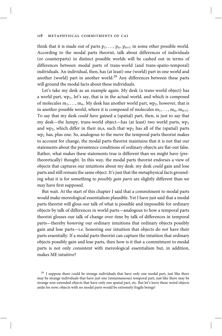think that it is made out of parts  $p_1, \ldots, p_n, p_{n+1}$  in some other possible world. According to the modal parts theorist, talk about differences of individuals (or counterparts) in distinct possible worlds will be cashed out in terms of differences between modal parts of trans-world (and trans-spatio-temporal) individuals. An individual, then, has (at least) one (world) part in one world and another (world) part in another world.<sup>29</sup> Any differences between these parts will ground the modal facts about these individuals.

Let's take my desk as an example again. My desk (a trans-world object) has a world part,  $wp_1$ , let's say, that is in the actual world, and which is composed of molecules  $m_1, \ldots, m_n$ . My desk has another world part, wp<sub>2</sub>, however, that is in another possible world, where it is composed of molecules  $m_1, \ldots, m_n, m_{n+1}$ . To say that my desk *could have* gained a (spatial) part, then, is just to say that my desk—the lumpy, trans-world object—has (at least) two world parts,  $wp_1$ and wp<sub>2</sub>, which differ in their m<sub>i</sub>s, such that wp<sub>2</sub> has all of the (spatial) parts  $wp<sub>1</sub>$  has, plus one. So, analogous to the move the temporal parts theorist makes to account for change, the modal parts theorist maintains that it is not that our statements about the persistence conditions of ordinary objects are flat-out false. Rather, what makes these statements true is different than we might have (pretheoretically) thought. In this way, the modal parts theorist endorses a view of objects that captures our intuitions about my desk: my desk *could* gain and lose parts and still remain the same object. It's just that the metaphysical facts grounding what it is for something to *possibly gain parts* are slightly different than we may have first supposed.

But wait. At the start of this chapter I said that a commitment to modal parts would make mereological essentialism plausible. Yet I have just said that a modal parts theorist will gloss our talk of what is possible and impossible for ordinary objects by talk of differences in world parts—analogous to how a temporal parts theorist glosses our talk of change over time by talk of differences in temporal parts—thereby *honoring* our ordinary intuitions that ordinary objects possibly gain and lose parts—i.e. honoring our intuition that objects do *not* have their parts essentially. If a modal parts theorist can capture the intuition that ordinary objects possibly gain and lose parts, then how is it that a commitment to modal parts is not only consistent with mereological essentialism but, in addition, makes ME intuitive?

<sup>&</sup>lt;sup>29</sup> I suppose there could be strange individuals that have only one modal part, just like there may be strange individuals that have just one (instantaneous) temporal part, just like there may be strange non-extended objects that have only one spatial part, etc. But let's leave these weird objects aside for now; objects with no modal parts would be extremely fragile beings!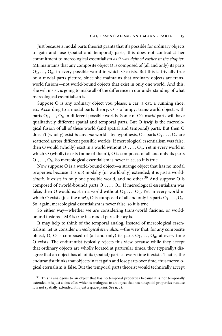Just because a modal parts theorist grants that it's possible for ordinary objects to gain and lose (spatial and temporal) parts, this does not contradict her commitment to mereological essentialism *as it was defined earlier in the chapter*. ME maintains that any composite object O is composed of (all and only) its parts  $O_1, \ldots, O_n$ , in every possible world in which O exists. But this is trivially true on a modal parts picture, since she maintains that ordinary objects are transworld fusions—not world-bound objects that exist in only one world. And this, she will insist, is going to make all of the difference in our understanding of what mereological essentialism is.

Suppose O is any ordinary object you please: a car, a cat, a running shoe, etc. According to a modal parts theory, O is a lumpy, trans-world object, with parts  $O_1, \ldots, O_n$  in different possible worlds. Some of O's *world* parts will have qualitatively different spatial and temporal parts. But O *itself* is the mereological fusion of all of these world (and spatial and temporal) parts. But then O doesn't (wholly) exist *in* any *one* world—by hypothesis, O's parts O<sub>1</sub>,..., O<sub>n</sub> are scattered across different possible worlds. If mereological essentialism was false, then O would (wholly) exist in a world without  $O_1, \ldots, O_n$ . Yet in every world in which O (wholly) exists (none of them!), O is composed of all and only its parts  $O_1, \ldots, O_n$ . So mereological essentialism is never false; so it is true.

Now suppose O is a world-bound object—a strange object that has no modal properties because it is *not* modally (or world-ally) extended; it is just a world*chunk*. It exists in only one possible world, and no other.<sup>30</sup> And suppose O is composed of (world-bound) parts  $O_1, \ldots, O_n$ . If mereological essentialism was false, then O would exist in a world without  $O_1, \ldots, O_n$ . Yet in every world in which O exists (just the one!), O is composed of all and only its parts  $O_1, \ldots, O_n$ . So, again, mereological essentialism is never false; so it is true.

So either way—whether we are considering trans-world fusions, or worldbound fusions—ME is true if a modal parts theory is.

It may help to think of the temporal analog. Instead of mereological essentialism, let us consider *mereological eternalism*—the view that, for any composite object, O, O is composed of (all and only) its parts  $O_1, \ldots, O_n$ , at every time O exists. The endurantist typically rejects this view because while they accept that ordinary objects are wholly located at particular times, they (typically) disagree that an object has all of its (spatial) parts at every time it exists. That is, the endurantist thinks that objects in fact gain and lose parts over time, thus mereological eternalism is false. But the temporal parts theorist would technically accept

<sup>&</sup>lt;sup>30</sup> This is analogous to an object that has no temporal properties because it is not temporally extended; it is just a time *slice*, which is analogous to an object that has no spatial properties because it is not spatially extended; it is just a space-*point*. See n. 28.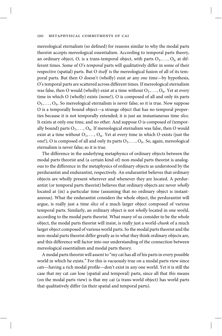mereological eternalism (so defined) for reasons similar to why the modal parts theorist accepts mereological essentialism. According to temporal parts theory, an ordinary object, O, is a trans-temporal object, with parts  $O_1, \ldots, O_n$  at different times. Some of O's *temporal* parts will qualitatively differ in some of their respective (spatial) parts. But O *itself* is the mereological fusion of all of its temporal parts. But then O doesn't (wholly) exist *at* any *one* time—by hypothesis, O's temporal parts are scattered across different times. If mereological eternalism was false, then O would (wholly) exist at a time without  $O_1, \ldots, O_n$ . Yet at every time in which O (wholly) exists (none!), O is composed of all and only its parts  $O_1, \ldots, O_n$ . So mereological eternalism is never false; so it is true. Now suppose O is a temporally bound object—a strange object that has no temporal properties because it is not temporally extended; it is just an instantaneous time *slice*. It exists at only one time, and no other. And suppose O is composed of (temporally bound) parts  $O_1, \ldots, O_n$ . If mereological eternalism was false, then O would exist at a time without  $O_1, \ldots, O_n$ . Yet at every time in which O exists (just the one!), O is composed of all and only its parts  $O_1, \ldots, O_n$ . So, again, mereological eternalism is never false; so it is true.

The difference in the underlying metaphysics of ordinary objects between the modal parts theorist and (a certain kind of) non-modal parts theorist is analogous to the difference in the metaphysics of ordinary objects as understood by the perdurantist and endurantist, respectively. An endurantist believes that ordinary objects are wholly present wherever and whenever they are located. A perdurantist (or temporal parts theorist) believes that ordinary objects are never *wholly* located at (in) a particular time (assuming that no ordinary object is instantaneous). What the endurantist considers the whole object, the perdurantist will argue, is really just a time *slice* of a much larger object composed of various temporal parts. Similarly, an ordinary object is not *wholly* located in one world, according to the modal parts theorist. What many of us consider to be the whole object, the modal parts theorist will insist, is really just a world-*chunk* of a much larger object composed of various world parts. So the modal parts theorist and the non-modal parts theorist differ greatly as to what they think ordinary objects are, and this difference will factor into our understanding of the connection between mereological essentialism and modal parts theory.

A modal parts theorist will assent to "my cat has all of his parts in every possible world in which he exists." For this is vacuously true on a modal parts view since *cats*—having a rich modal profile—don't exist in any one world. Yet it is still the case that my cat *can* lose (spatial and temporal) parts, since all that *this* means (on the modal parts view) is that my cat (a trans-world object) has world parts that qualitatively differ (in their spatial and temporal parts).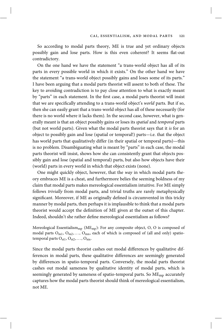So according to modal parts theory, ME is true and yet ordinary objects possibly gain and lose parts. How is this even coherent? It seems flat-out contradictory.

On the one hand we have the statement "a trans-world object has all of its parts in every possible world in which it exists." On the other hand we have the statement "a trans-world object possibly gains and loses some of its parts." I have been arguing that a modal parts theorist will assent to both of these. The key to avoiding contradiction is to pay close attention to what is exactly meant by "parts" in each statement. In the first case, a modal parts theorist will insist that we are specifically attending to a trans-world object's *world* parts. But if so, then she can easily grant that a trans-world object has all of these necessarily (for there is no world where it lacks them). In the second case, however, what is generally meant is that an object possibly gains or loses its *spatial* and *temporal* parts (but not world parts). Given what the modal parts theorist says that it *is* for an object to possibly gain and lose (spatial or temporal!) parts—i.e. that the object has world parts that qualitatively differ (in their spatial or temporal parts)—this is no problem. Disambiguating what is meant by "parts" in each case, the modal parts theorist will insist, shows how she can consistently grant that objects possibly gain and lose (spatial and temporal) parts, but also how objects have their (world) parts in every world in which that object exists (none).

One might quickly object, however, that the *way* in which modal parts theory embraces ME is a cheat, and furthermore belies the seeming boldness of my claim that modal parts makes mereological essentialism intuitive. For ME simply follows *trivially* from modal parts, and trivial truths are rarely metaphysically significant. Moreover, if ME as originally defined is circumvented in this tricky manner by modal parts, then perhaps it is implausible to think that a modal parts theorist would accept the definition of ME given at the outset of this chapter. Indeed, shouldn't she rather define mereological essentialism as follows?

Mereological Essentialism<sub>mp</sub> (ME<sub>mp</sub>): For any composite object, O, O is composed of modal parts  $O_{m1}$ ,  $O_{m2}$ ,...,  $O_{mn}$ , each of which is composed of (all and only) spatiotemporal parts  $O_{st1}$ ,  $O_{st2}$ , ...,  $O_{stn}$ .

Since the modal parts theorist cashes out modal differences by qualitative differences in modal parts, these qualitative differences are seemingly generated by differences in spatio-temporal parts. Conversely, the modal parts theorist cashes out modal sameness by qualitative identity of modal parts, which is seemingly generated by sameness of spatio-temporal parts. So  $ME<sub>mp</sub>$  accurately captures how the modal parts theorist should think of mereological essentialism, not ME.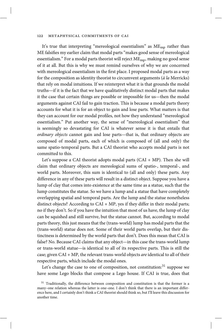It's true that interpreting "mereological essentialism" as ME<sub>mp</sub> rather than ME falsifies my earlier claim that modal parts "makes good sense of mereological essentialism." For a modal parts theorist will reject  $ME_{mn}$ , making no good sense of it at all. But this is why we must remind ourselves of why we are concerned with mereological essentialism in the first place. I proposed modal parts as a way for the composition as identity theorist to circumvent arguments (*à la* Merricks) that rely on modal intuitions. If we reinterpret what it is that grounds the modal truths—if it is the fact that we have qualitatively distinct modal parts that makes it the case that certain things are possible or impossible for us—then the modal arguments against CAI fail to gain traction. This is because a modal parts theory accounts for what it is for an object to gain and lose parts. What matters is that they can account for our modal profiles, not how they understand "mereological essentialism." Put another way, the sense of "mereological essentialism" that is seemingly so devastating for CAI is whatever sense it is that entails that *ordinary objects* cannot gain and lose parts—that is, that ordinary objects are composed of modal parts, each of which is composed of (all and only) the same spatio-temporal parts. But a CAI theorist who accepts modal parts is not committed to this.

Let's suppose a CAI theorist adopts modal parts  $(CAI + MP)$ . Then she will claim that ordinary objects are mereological sums of spatio-, temporal-, and world parts. Moreover, this sum is identical to (all and only) these parts. Any difference in any of these parts will result in a distinct object. Suppose you have a lump of clay that comes into existence at the same time as a statue, such that the lump constitutes the statue. So we have a lump and a statue that have completely overlapping spatial and temporal parts. Are the lump and the statue nonetheless distinct objects? According to CAI + MP, yes if they differ in their modal parts; no if they don't. So if you have the intuition that most of us have, the lump of clay can be squished and still survive, but the statue cannot. But, according to modal parts theory, this just means that the (trans-world) lump has modal parts that the (trans-world) statue does not. Some of their world parts overlap, but their distinctness is determined by the world parts that don't. Does this mean that CAI is false? No. Because CAI claims that any object—in this case the trans-world lump or trans-world statue—is identical to all of its respective parts. This is still the case; given CAI + MP, the relevant trans-world objects *are* identical to all of their respective parts, which include the modal ones.

Let's change the case to one of composition, not constitution: $31$  suppose we have some Lego blocks that compose a Lego house. If CAI is true, does that

<sup>&</sup>lt;sup>31</sup> Traditionally, the difference between composition and constitution is that the former is a many–one relation whereas the latter is one–one. I don't think that there is an important difference here, and I certainly don't think a CAI theorist should think so, but I'll leave this discussion for another time.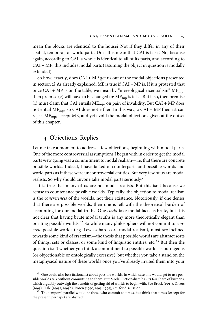mean the blocks are identical to the house? Not if they differ in any of their spatial, temporal, or world parts. Does this mean that CAI is false? No, because again, according to CAI, a whole is identical to all of its parts, and according to  $CAI + MP$ , this includes modal parts (assuming the object in question is modally extended).

So how, exactly, does CAI + MP get us out of the modal objections presented in section 2? As already explained, ME is true if CAI + MP is. If it is protested that once CAI + MP is on the table, we mean by "mereological essentialism"  $ME_{mp}$ , then premise (2) will have to be changed to:  $ME_{mp}$  is false. But if so, then premise (1) must claim that CAI entails  $ME_{mp}$ , on pain of invalidity. But CAI + MP does not entail  $ME_{mp}$ , so CAI does not either. In this way, a CAI + MP theorist can reject ME<sub>mp</sub>, accept ME, and yet avoid the modal objections given at the outset of this chapter.

## 4 Objections, Replies

Let me take a moment to address a few objections, beginning with modal parts. One of the more controversial assumptions I began with in order to get the modal parts view going was a commitment to modal realism—i.e. that there are concrete possible worlds. Indeed, I have talked of counterparts and possible worlds and world parts as if these were uncontroversial entities. But very few of us are modal realists. So why should anyone take modal parts seriously?

It is true that many of us are not modal realists. But this isn't because we refuse to countenance possible worlds. Typically, the objection to modal realism is the *concreteness* of the worlds, not their existence. Notoriously, if one denies that there are possible worlds, then one is left with the theoretical burden of accounting for our modal truths. One *could* take modal facts as brute, but it is not clear that having brute modal truths is any more theoretically elegant than positing possible worlds.<sup>32</sup> So while many philosophers will not commit to *concrete* possible worlds (e.g. Lewis's hard-core modal realism), most *are* inclined towards some kind of ersatzism—the thesis that possible worlds are abstract sorts of things, sets or classes, or some kind of linguistic entities, etc.<sup>33</sup> But then the question isn't whether you think a commitment to possible worlds is outrageous (or objectionable or ontologically excessive), but whether you take a stand on the metaphysical nature of these worlds once you've already invited them into your

 $32$  One could also be a fictionalist about possible worlds, in which case one would get to use possible worlds talk without committing to them. But Modal Fictionalism has its fair share of burdens, which arguably outweigh the benefits of getting rid of worlds to begin with. See Brock (1993), Divers<br>(1995), Hale (1995a, 1995b), Rosen (1990, 1993, 1995), etc. for discussion.

<sup>&</sup>lt;sup>33</sup> The temporal parallel would be those who commit to times, but think that times (except for the present, perhaps) are abstract.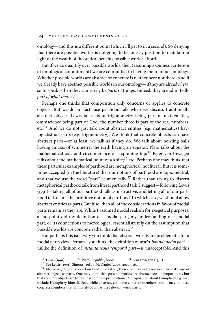ontology—and this is a different point (which I'll get to in a second). So denying that there are possible worlds is not going to be an easy position to maintain in light of the wealth of theoretical benefits possible worlds afford.

But if we do quantify over possible worlds, then (assuming a Quinean criterion of ontological commitment) we are committed to having them in our ontology. Whether possible worlds are abstract or concrete is neither here nor there. And if we already have abstract possible worlds in our ontology—if they are already *here*, so to speak—then they can surely be *parts* of things. Indeed, they are admittedly *part of what there is*!

Perhaps one thinks that composition only concerns or applies to concrete objects. But we do, in fact, use parthood talk when we discuss traditionally abstract objects. Lewis talks about trigonometry being part of mathematics, omniscience being part of God; the number three is part of the real numbers, etc.<sup>34</sup> And we do not just talk about abstract entities (e.g. mathematics) having abstract parts (e.g. trigonometry). We think that concrete objects can have abstract parts—or at least, we talk as if they do. We talk about bowling balls having an axis of symmetry, the earth having an equator; Plato talks about the mathematical axis and circumference of a spinning top;<sup>35</sup> Peter van Inwagen talks about the mathematical point of a knife; $36$  etc. Perhaps one may think that these particular examples of parthood are metaphorical, not literal. But it is sometimes accepted (in the literature) that our notions of parthood are topic-neutral, and that we use the word "part" ecumenically. $37$  Rather than trying to discern metaphorical parthood talk from literal parthood talk, I suggest—following Lewis (1991)—taking all of our parthood talk as instructive, and letting all of our parthood talk define the primitive notion of parthood. In which case, we should allow abstract entities as parts. But if so, then all of the considerations in favor of modal parts remain as they are. While I assumed modal realism for exegetical purposes, at no point did my definition of a modal part, my understanding of a modal part, or its connections to mereological essentialism rely on the assumption that possible worlds are concrete rather than abstract.<sup>38</sup>

But perhaps this isn't why you think that abstract worlds are problematic for a modal parts view. Perhaps, you think, the definition of *world-bound modal part* unlike the definition of *instantaneous temporal part*—is unacceptable. And this

<sup>&</sup>lt;sup>34</sup> Lewis (1991). <sup>35</sup> Plato, *Republic*, book 4. <sup>36</sup> van Inwagen (1981).<br><sup>37</sup> See Lewis (1991), Simons (1987), McDaniel (2004, 2010), etc.<br><sup>38</sup> Moreover, if one is a certain kind of ersatzer, then one may not even need abstract objects as parts. One may think that possible worlds are abstract sets of propositions, but that concrete objects are (often) part of these propositions. A proposition about Humphrey e.g. may include Humphrey himself. Sets, while abstract, can have concrete members, and it may be these concrete members that ultimately count as the relevant world parts.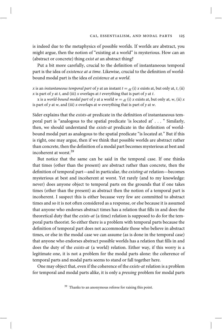is indeed due to the metaphysics of possible worlds. If worlds are abstract, you might argue, then the notion of "existing at a world" is mysterious. How can an (abstract or concrete) thing *exist at* an abstract thing?

Put a bit more carefully, crucial to the definition of instantaneous temporal part is the idea of *existence at a time*. Likewise, crucial to the definition of worldbound modal part is the idea of *existence at a world*.

*x* is an *instantaneous temporal part* of *y* at an instant  $t =$  df (i) *x* exists at, but only at, *t*, (ii) *x* is part of *y* at *t*, and (iii) *x* overlaps at *t* everything that is part of *y* at *t*.

x is a *world-bound modal part* of *y* at a world  $w =$  df (i) x exists at, but only at, w, (ii) x is part of *y* at *w*, and (iii) *x* overlaps at *w* everything that is part of *y* at *w*.

Sider explains that the *exists-at* predicate in the definition of instantaneous temporal part is "analogous to the spatial predicate 'is located at' . . . " Similarly, then, we should understand the *exists-at* predicate in the definition of worldbound modal part as analogous to the spatial predicate "is located at." But if this is right, one may argue, then if we think that possible worlds are abstract rather than concrete, then the definition of a modal part becomes mysterious at best and incoherent at worst.<sup>39</sup>

But notice that the same can be said in the temporal case. If one thinks that times (other than the present) are abstract rather than concrete, then the definition of temporal part—and in particular, the *existing-at* relation—becomes mysterious at best and incoherent at worst. Yet rarely (and to my knowledge: never) does anyone object to temporal parts on the grounds that if one takes times (other than the present) as abstract then the notion of a temporal part is incoherent. I suspect this is either because very few are committed to abstract times and so it is not often considered as a response, or else because it is assumed that anyone who endorses abstract times has a relation that fills in and does the theoretical duty that the *exists-at* (a time) relation is supposed to do for the temporal parts theorist. So either there is a problem with temporal parts because the definition of temporal part does not accommodate those who believe in abstract times, or else in the modal case we can assume (as is done in the temporal case) that anyone who endorses abstract possible worlds has a relation that fills in and does the duty of the *exists-at* (a world) relation. Either way, if this worry is a legitimate one, it is not a problem for the modal parts alone: the coherence of temporal parts and modal parts seems to stand or fall together here.

One may object that, even if the coherence of the *exists-at* relation is a problem for temporal and modal parts alike, it is only a *pressing* problem for modal parts

<sup>&</sup>lt;sup>39</sup> Thanks to an anonymous referee for raising this point.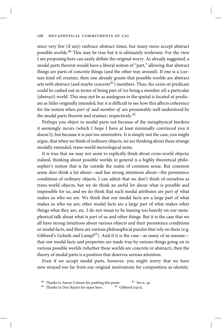since very few (if any) embrace abstract times, but many more accept abstract possible worlds.<sup>40</sup> This may be true but it is ultimately irrelevant. For the view I am proposing here can easily deflate the original worry. As already suggested, a modal parts theorist would have a liberal notion of "part," allowing that abstract things are parts of concrete things (and the other way around). If one is a (certain kind of) ersatzer, then one already grants that possible worlds are abstract sets with abstract (and maybe concrete<sup>41</sup>) members. Thus, the *exists-at* predicate could be cashed out in terms of being part of (or being a member of) a particular (abstract) world. This may not be as analogous to the spatial *is-located-at* predicate as Sider originally intended, but it is difficult to see how this affects coherence for the notion when *part of* and *member of* are presumably well understood by the modal parts theorist and ersatzer, respectively.<sup>42</sup>

Perhaps you object to modal parts not because of the metaphysical burdens it seemingly incurs (which I hope I have at least minimally convinced you it doesn't), but because it is just too unintuitive. It is simply not the case, you might argue, that when we think of ordinary objects, we are thinking about these strange modally extended, trans-world mereological sums.

It is true that we may not seem to explicitly think about cross-world objects; indeed, thinking about possible worlds in general is a highly theoretical philosopher's notion that is far outside the realm of common sense. But common sense *does* think a lot about—and has strong intuitions about—the persistence conditions of ordinary objects. I can admit that we don't think of ourselves as trans-world objects, but we do think an awful lot about what is possible and impossible for us, and we do think that such modal attributes are *part of* what makes us who we are. We think that our modal facts are a large part of what makes us who we are; other modal facts are a large part of what makes other things what they are, etc. I do not mean to be leaning too heavily on our metaphorical talk about what is *part* of us and other things. But it is the case that we all have strong intuitions about various objects and their persistence conditions or modal facts, and there are various philosophical puzzles that rely on them (e.g. Gibbard's Goliath and Lumpl<sup>43</sup>). And if it is the case—as many of us assume that our modal facts and properties are made true by various things going on in various possible worlds (whether these worlds are concrete or abstract), then the theory of modal parts is a position that deserves serious attention.

Even if we accept modal parts, however, you might worry that we have now strayed too far from our original motivations for composition as identity.

<sup>&</sup>lt;sup>40</sup> Thanks to Aaron Cotnoir for pushing this point. <sup>41</sup> See n. 39.<br><sup>42</sup> Thanks to Don Baxter for input here. <sup>43</sup> Gibbard (1975).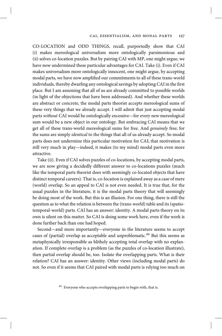#### cai, essentialism, and modal parts 127

CO-LOCATION and ODD THINGS, recall, purportedly show that CAI (i) makes mereological universalism more ontologically parsimonious and (ii) solves co-location puzzles. But by pairing CAI with MP, one might argue, we have now undermined these particular advantages for CAI. Take (i). Even if CAI makes universalism more ontologically innocent, one might argue, by accepting modal parts, we have now amplified our commitments to all of these trans-world individuals, thereby dwarfing any ontological savings by adopting CAI in the first place. But I am assuming that all of us are already committed to possible worlds (in light of the objections that have been addressed). And whether these worlds are abstract or concrete, the modal parts theorist accepts mereological sums of these very things that we already accept. I will admit that just accepting modal parts *without* CAI would be ontologically excessive—for every new mereological sum would be a new object in our ontology. But embracing CAI means that we get all of these trans-world mereological sums for free. And *genuinely* free; for the sums are simply *identical* to the things that all of us already accept. So modal parts does not undermine this particular motivation for CAI; that motivation is still very much in play—indeed, it makes (to my mind) modal parts even more attractive.

Take (ii). Even if CAI solves puzzles of co-locations, by accepting modal parts, we are now giving a decidedly different answer to co-locations puzzles (much like the temporal parts theorist does with seemingly co-located objects that have distinct temporal careers). That is, co-location is explained away as a case of mere (world) overlap. So an appeal to CAI is not even needed. It is true that, for the usual puzzles in the literature, it is the modal parts theory that will seemingly be doing most of the work. But this is an illusion. For one thing, there is still the question as to what the relation is between the (trans-world) table and its (spatiotemporal-world) parts. CAI has an answer: identity. A modal parts theory on its own is silent on this matter. So CAI is doing some work here, even if the work is done further back than one had hoped.

Second—and more importantly—everyone in the literature seems to accept cases of (partial) overlap as acceptable and unproblematic.<sup>44</sup> But this seems as metaphysically irresponsible as blithely accepting total overlap with no explanation. If complete overlap is a problem (as the puzzles of co-location illustrate), then partial overlap should be, too. Isolate the overlapping parts. What is their relation? CAI has an answer: identity. Other views (including modal parts) do not. So even if it seems that CAI paired with modal parts is relying too much on

<sup>&</sup>lt;sup>44</sup> Everyone who accepts overlapping parts to begin with, that is.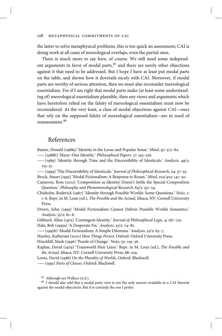the latter to solve metaphysical problems, this is too quick an assessment; CAI is doing work at all cases of mereological overlaps, even the partial ones.

There is much more to say here, of course. We still need some independent arguments in favor of modal parts, $45$  and there are surely other objections against it that need to be addressed. But I hope I have at least put modal parts on the table, and shown how it dovetails nicely with CAI. Moreover, if modal parts are worthy of serious attention, then we must also reconsider mereological essentialism. For if I am right that modal parts make (at least some understanding of) mereological essentialism plausible, then any views and arguments which have heretofore relied on the falsity of mereological essentialism must now be reconsidered. At the very least, a class of modal objections against CAI—ones that rely on the supposed falsity of mereological essentialism—are in need of reassessment.<sup>46</sup>

### References

Baxter, Donald (1988a) 'Identity in the Loose and Popular Sense.' *Mind*, 97: 575–82.

- —— (1988b) 'Many–One Identity.' *Philosophical Papers*, 17: 193–216.
- —— (1989) 'Identity through Time and the Discernibility of Identicals.' *Analysis*, 49/3: 125–31.
- —— (1999) 'The Discernibility of Identicals.' *Journal of Philosophical Research*, 24: 37–55.
- Brock, Stuart (1993) 'Modal Fictionalism: A Response to Rosen.' *Mind*, 102/405: 147–50.

Cameron, Ross (2012) 'Composition as Identity Doesn't Settle the Special Composition Question.' *Philosophy and Phenomenological Research*, 84/3: 531–54.

Chisholm, Roderick (1967) 'Identity through Possible Worlds: Some Questions.' *Noûs*, 1: 1–8. Repr. in M. Loux (ed.), *The Possible and the Actual*, Ithaca, NY: Cornell University Press.

Divers, John (1995) 'Modal Fictionalism Cannot Deliver Possible Worlds Semantics.' *Analysis*, 55/2: 81–8.

Gibbard, Allan (1975) 'Contingent Identity.' *Journal of Philosophical Logic*, 4: 187–221. Hale, Bob (1995a) 'A Desperate Fix.' *Analysis*, 55/2: 74–81.

—— (1995b) 'Modal Fictionalism: A Simple Dilemma.' *Analysis*, 55/2: 63–7.

Hawley, Katherine (2001) *How Things Persist*, Oxford: Oxford University Press.

Hinchliff, Mark (1996) 'Puzzle of Change.' *Noûs*, 30: 119–36.

Kaplan, David (1979) 'Transworld Heir Lines.' Repr. in M. Loux (ed.), *The Possible and the Actual*, Ithaca, NY: Cornell University Press, 88–109.

Lewis, David (1986) *On the Plurality of Worlds*, Oxford: Blackwell.

—— (1991) *Parts of Classes*, Oxford: Blackwell.

<sup>45</sup> Although see Wallace (n.d.).  $^{46}$  I should also add that a modal parts view is not the only answer available to a CAI theorist against the modal objections. But it is certainly the one I prefer.